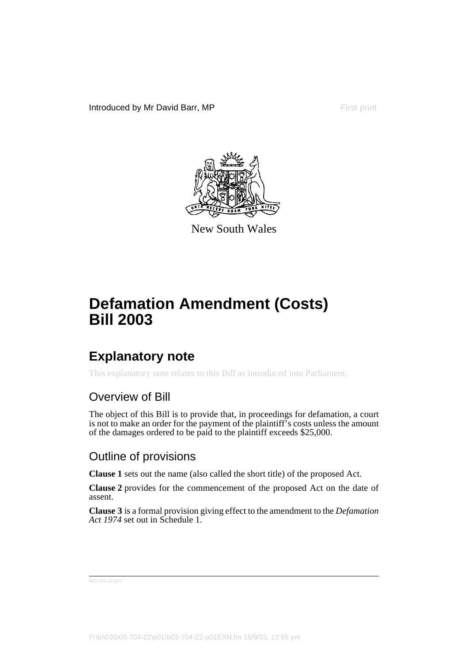Introduced by Mr David Barr, MP **First print** 



New South Wales

# **Defamation Amendment (Costs) Bill 2003**

## **Explanatory note**

This explanatory note relates to this Bill as introduced into Parliament.

### Overview of Bill

The object of this Bill is to provide that, in proceedings for defamation, a court is not to make an order for the payment of the plaintiff's costs unless the amount of the damages ordered to be paid to the plaintiff exceeds \$25,000.

#### Outline of provisions

**Clause 1** sets out the name (also called the short title) of the proposed Act.

**Clause 2** provides for the commencement of the proposed Act on the date of assent.

**Clause 3** is a formal provision giving effect to the amendment to the *Defamation Act 1974* set out in Schedule 1.

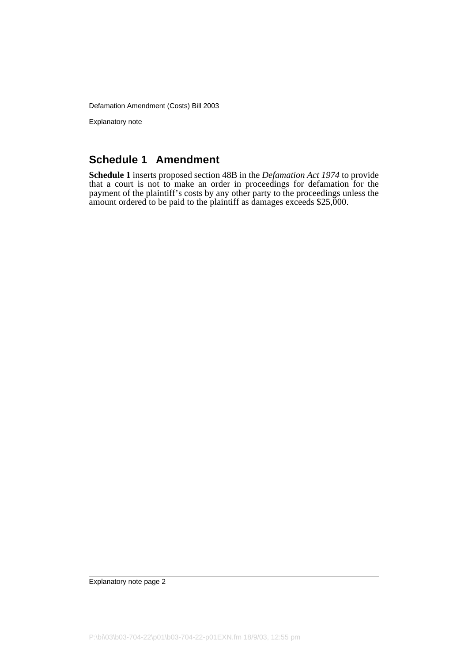Defamation Amendment (Costs) Bill 2003

Explanatory note

#### **Schedule 1 Amendment**

**Schedule 1** inserts proposed section 48B in the *Defamation Act 1974* to provide that a court is not to make an order in proceedings for defamation for the payment of the plaintiff's costs by any other party to the proceedings unless the amount ordered to be paid to the plaintiff as damages exceeds \$25,000.

Explanatory note page 2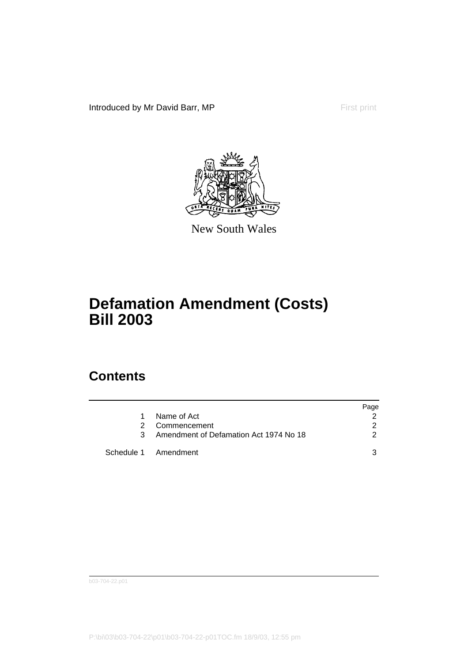Introduced by Mr David Barr, MP First print



New South Wales

# **Defamation Amendment (Costs) Bill 2003**

## **Contents**

|    |                                          | Page |
|----|------------------------------------------|------|
| 1. | Name of Act                              |      |
| 2  | Commencement                             | 2    |
|    | 3 Amendment of Defamation Act 1974 No 18 | 2    |
|    | Schedule 1 Amendment                     | ર    |

b03-704-22.p01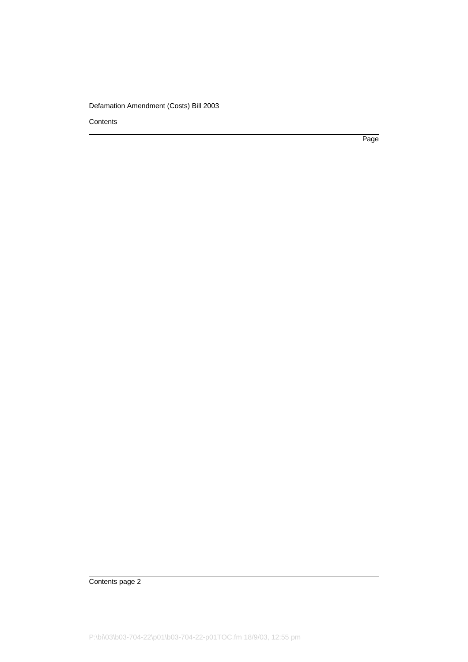#### Defamation Amendment (Costs) Bill 2003

**Contents** 

Page

Contents page 2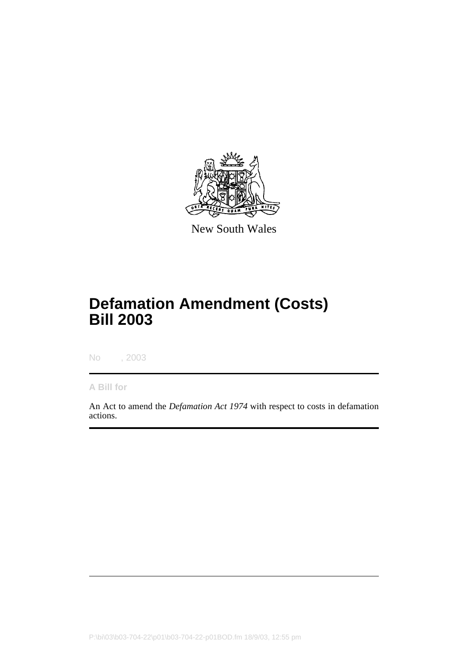

New South Wales

# **Defamation Amendment (Costs) Bill 2003**

No , 2003

#### **A Bill for**

An Act to amend the *Defamation Act 1974* with respect to costs in defamation actions.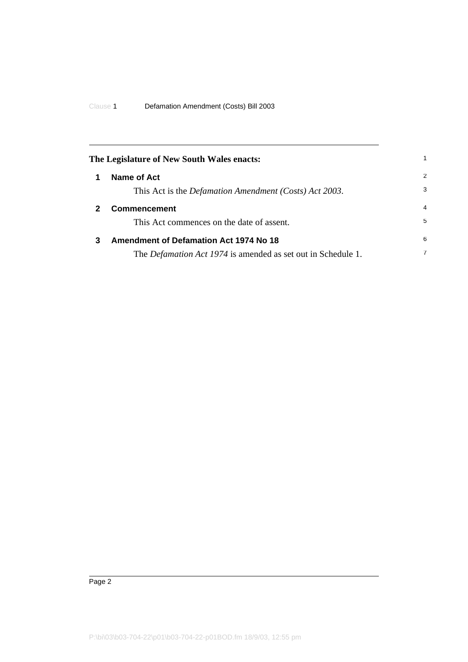<span id="page-5-2"></span><span id="page-5-1"></span><span id="page-5-0"></span>

| The Legislature of New South Wales enacts: |                                                                     |                |
|--------------------------------------------|---------------------------------------------------------------------|----------------|
|                                            | Name of Act                                                         | 2              |
|                                            | This Act is the <i>Defamation Amendment (Costs) Act 2003</i> .      | 3              |
|                                            | <b>Commencement</b>                                                 | $\overline{4}$ |
|                                            | This Act commences on the date of assent.                           | 5              |
| 3                                          | <b>Amendment of Defamation Act 1974 No 18</b>                       | 6              |
|                                            | The <i>Defamation Act 1974</i> is amended as set out in Schedule 1. | $\overline{7}$ |